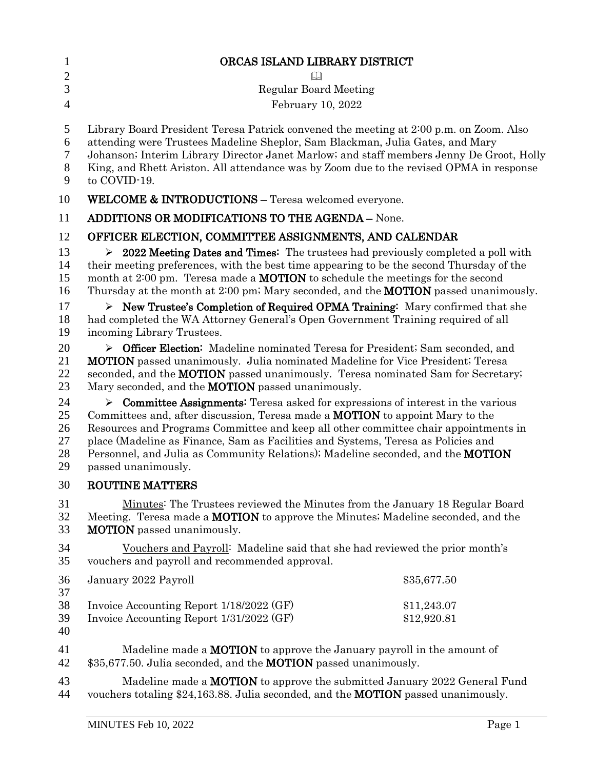| $\mathbf{1}$                       | ORCAS ISLAND LIBRARY DISTRICT                                                                                                                                                                                                                                                                                                                                                                                                                                                        |  |
|------------------------------------|--------------------------------------------------------------------------------------------------------------------------------------------------------------------------------------------------------------------------------------------------------------------------------------------------------------------------------------------------------------------------------------------------------------------------------------------------------------------------------------|--|
| $\overline{2}$<br>3                | <b>Regular Board Meeting</b>                                                                                                                                                                                                                                                                                                                                                                                                                                                         |  |
| $\overline{4}$                     | February 10, 2022                                                                                                                                                                                                                                                                                                                                                                                                                                                                    |  |
|                                    |                                                                                                                                                                                                                                                                                                                                                                                                                                                                                      |  |
| 5<br>6<br>7<br>$8\phantom{1}$<br>9 | Library Board President Teresa Patrick convened the meeting at 2:00 p.m. on Zoom. Also<br>attending were Trustees Madeline Sheplor, Sam Blackman, Julia Gates, and Mary<br>Johanson; Interim Library Director Janet Marlow; and staff members Jenny De Groot, Holly<br>King, and Rhett Ariston. All attendance was by Zoom due to the revised OPMA in response<br>to COVID-19.                                                                                                       |  |
| 10                                 | <b>WELCOME &amp; INTRODUCTIONS - Teresa welcomed everyone.</b>                                                                                                                                                                                                                                                                                                                                                                                                                       |  |
| 11                                 | <b>ADDITIONS OR MODIFICATIONS TO THE AGENDA - None.</b>                                                                                                                                                                                                                                                                                                                                                                                                                              |  |
| 12                                 | OFFICER ELECTION, COMMITTEE ASSIGNMENTS, AND CALENDAR                                                                                                                                                                                                                                                                                                                                                                                                                                |  |
| 13<br>14<br>15<br>16               | $\geq 2022$ Meeting Dates and Times: The trustees had previously completed a poll with<br>their meeting preferences, with the best time appearing to be the second Thursday of the<br>month at 2:00 pm. Teresa made a <b>MOTION</b> to schedule the meetings for the second<br>Thursday at the month at 2:00 pm; Mary seconded, and the <b>MOTION</b> passed unanimously.                                                                                                            |  |
| 17<br>18<br>19                     | $\triangleright$ New Trustee's Completion of Required OPMA Training: Mary confirmed that she<br>had completed the WA Attorney General's Open Government Training required of all<br>incoming Library Trustees.                                                                                                                                                                                                                                                                       |  |
| 20<br>21<br>22<br>23               | <b>Example 2</b> Officer Election: Madeline nominated Teresa for President; Sam seconded, and<br><b>MOTION</b> passed unanimously. Julia nominated Madeline for Vice President; Teresa<br>seconded, and the MOTION passed unanimously. Teresa nominated Sam for Secretary;<br>Mary seconded, and the <b>MOTION</b> passed unanimously.                                                                                                                                               |  |
| 24<br>25<br>26<br>27<br>28<br>29   | $\triangleright$ Committee Assignments: Teresa asked for expressions of interest in the various<br>Committees and, after discussion, Teresa made a <b>MOTION</b> to appoint Mary to the<br>Resources and Programs Committee and keep all other committee chair appointments in<br>place (Madeline as Finance, Sam as Facilities and Systems, Teresa as Policies and<br>Personnel, and Julia as Community Relations); Madeline seconded, and the <b>MOTION</b><br>passed unanimously. |  |
| 30                                 | <b>ROUTINE MATTERS</b>                                                                                                                                                                                                                                                                                                                                                                                                                                                               |  |
| 31<br>32<br>33                     | Minutes: The Trustees reviewed the Minutes from the January 18 Regular Board<br>Meeting. Teresa made a <b>MOTION</b> to approve the Minutes; Madeline seconded, and the<br><b>MOTION</b> passed unanimously.                                                                                                                                                                                                                                                                         |  |
| 34<br>35                           | Vouchers and Payroll: Madeline said that she had reviewed the prior month's<br>vouchers and payroll and recommended approval.                                                                                                                                                                                                                                                                                                                                                        |  |
| 36                                 | January 2022 Payroll<br>\$35,677.50                                                                                                                                                                                                                                                                                                                                                                                                                                                  |  |
| 37<br>38<br>39<br>40               | Invoice Accounting Report 1/18/2022 (GF)<br>\$11,243.07<br>Invoice Accounting Report 1/31/2022 (GF)<br>\$12,920.81                                                                                                                                                                                                                                                                                                                                                                   |  |
| 41<br>42                           | Madeline made a <b>MOTION</b> to approve the January payroll in the amount of<br>\$35,677.50. Julia seconded, and the <b>MOTION</b> passed unanimously.                                                                                                                                                                                                                                                                                                                              |  |
| 43<br>44                           | Madeline made a <b>MOTION</b> to approve the submitted January 2022 General Fund<br>vouchers totaling \$24,163.88. Julia seconded, and the <b>MOTION</b> passed unanimously.                                                                                                                                                                                                                                                                                                         |  |